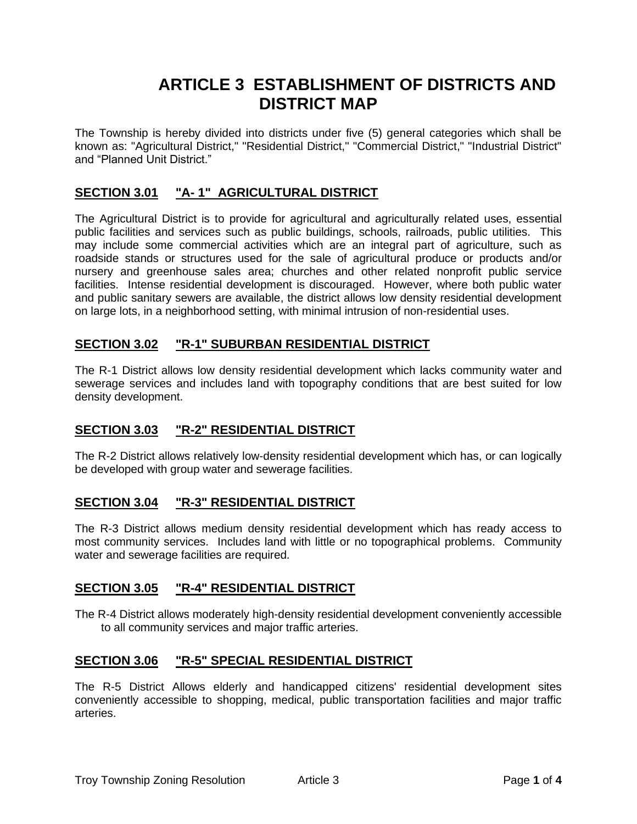# **ARTICLE 3 ESTABLISHMENT OF DISTRICTS AND DISTRICT MAP**

The Township is hereby divided into districts under five (5) general categories which shall be known as: "Agricultural District," "Residential District," "Commercial District," "Industrial District" and "Planned Unit District."

# **SECTION 3.01 "A- 1" AGRICULTURAL DISTRICT**

The Agricultural District is to provide for agricultural and agriculturally related uses, essential public facilities and services such as public buildings, schools, railroads, public utilities. This may include some commercial activities which are an integral part of agriculture, such as roadside stands or structures used for the sale of agricultural produce or products and/or nursery and greenhouse sales area; churches and other related nonprofit public service facilities. Intense residential development is discouraged. However, where both public water and public sanitary sewers are available, the district allows low density residential development on large lots, in a neighborhood setting, with minimal intrusion of non-residential uses.

## **SECTION 3.02 "R-1" SUBURBAN RESIDENTIAL DISTRICT**

The R-1 District allows low density residential development which lacks community water and sewerage services and includes land with topography conditions that are best suited for low density development.

## **SECTION 3.03 "R-2" RESIDENTIAL DISTRICT**

The R-2 District allows relatively low-density residential development which has, or can logically be developed with group water and sewerage facilities.

## **SECTION 3.04 "R-3" RESIDENTIAL DISTRICT**

The R-3 District allows medium density residential development which has ready access to most community services. Includes land with little or no topographical problems. Community water and sewerage facilities are required.

## **SECTION 3.05 "R-4" RESIDENTIAL DISTRICT**

The R-4 District allows moderately high-density residential development conveniently accessible to all community services and major traffic arteries.

## **SECTION 3.06 "R-5" SPECIAL RESIDENTIAL DISTRICT**

The R-5 District Allows elderly and handicapped citizens' residential development sites conveniently accessible to shopping, medical, public transportation facilities and major traffic arteries.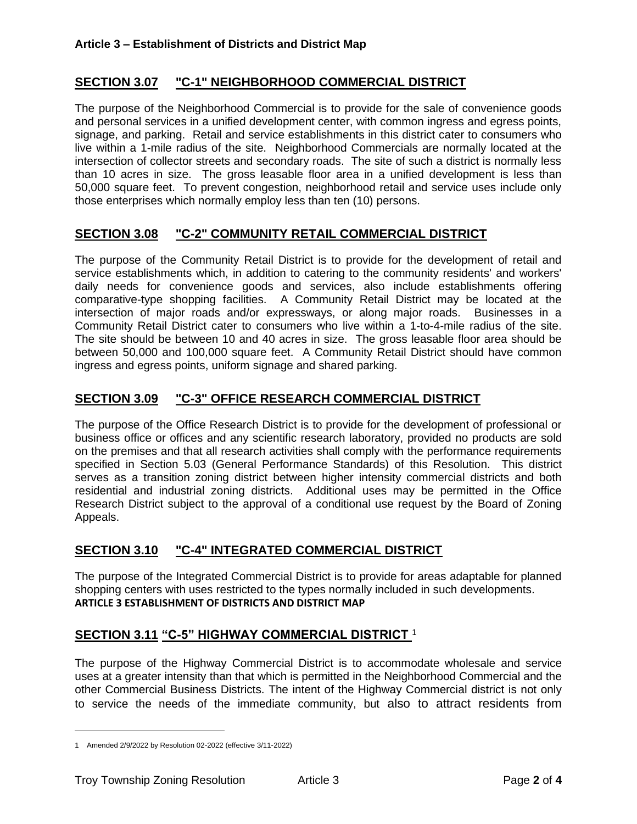# **SECTION 3.07 "C-1" NEIGHBORHOOD COMMERCIAL DISTRICT**

The purpose of the Neighborhood Commercial is to provide for the sale of convenience goods and personal services in a unified development center, with common ingress and egress points, signage, and parking. Retail and service establishments in this district cater to consumers who live within a 1-mile radius of the site. Neighborhood Commercials are normally located at the intersection of collector streets and secondary roads. The site of such a district is normally less than 10 acres in size. The gross leasable floor area in a unified development is less than 50,000 square feet. To prevent congestion, neighborhood retail and service uses include only those enterprises which normally employ less than ten (10) persons.

## **SECTION 3.08 "C-2" COMMUNITY RETAIL COMMERCIAL DISTRICT**

The purpose of the Community Retail District is to provide for the development of retail and service establishments which, in addition to catering to the community residents' and workers' daily needs for convenience goods and services, also include establishments offering comparative-type shopping facilities. A Community Retail District may be located at the intersection of major roads and/or expressways, or along major roads. Businesses in a Community Retail District cater to consumers who live within a 1-to-4-mile radius of the site. The site should be between 10 and 40 acres in size. The gross leasable floor area should be between 50,000 and 100,000 square feet. A Community Retail District should have common ingress and egress points, uniform signage and shared parking.

## **SECTION 3.09 "C-3" OFFICE RESEARCH COMMERCIAL DISTRICT**

The purpose of the Office Research District is to provide for the development of professional or business office or offices and any scientific research laboratory, provided no products are sold on the premises and that all research activities shall comply with the performance requirements specified in Section 5.03 (General Performance Standards) of this Resolution. This district serves as a transition zoning district between higher intensity commercial districts and both residential and industrial zoning districts. Additional uses may be permitted in the Office Research District subject to the approval of a conditional use request by the Board of Zoning Appeals.

## **SECTION 3.10 "C-4" INTEGRATED COMMERCIAL DISTRICT**

The purpose of the Integrated Commercial District is to provide for areas adaptable for planned shopping centers with uses restricted to the types normally included in such developments. **ARTICLE 3 ESTABLISHMENT OF DISTRICTS AND DISTRICT MAP**

## **SECTION 3.11 "C-5" HIGHWAY COMMERCIAL DISTRICT** <sup>1</sup>

The purpose of the Highway Commercial District is to accommodate wholesale and service uses at a greater intensity than that which is permitted in the Neighborhood Commercial and the other Commercial Business Districts. The intent of the Highway Commercial district is not only to service the needs of the immediate community, but also to attract residents from

<sup>1</sup> Amended 2/9/2022 by Resolution 02-2022 (effective 3/11-2022)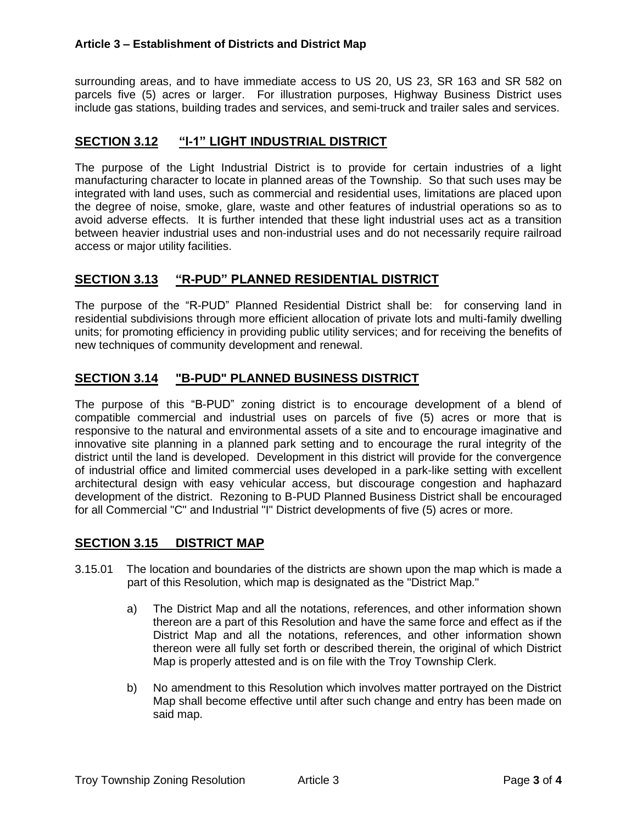#### **Article 3 – Establishment of Districts and District Map**

surrounding areas, and to have immediate access to US 20, US 23, SR 163 and SR 582 on parcels five (5) acres or larger. For illustration purposes, Highway Business District uses include gas stations, building trades and services, and semi-truck and trailer sales and services.

#### **SECTION 3.12 "I-1" LIGHT INDUSTRIAL DISTRICT**

The purpose of the Light Industrial District is to provide for certain industries of a light manufacturing character to locate in planned areas of the Township. So that such uses may be integrated with land uses, such as commercial and residential uses, limitations are placed upon the degree of noise, smoke, glare, waste and other features of industrial operations so as to avoid adverse effects. It is further intended that these light industrial uses act as a transition between heavier industrial uses and non-industrial uses and do not necessarily require railroad access or major utility facilities.

#### **SECTION 3.13 "R-PUD" PLANNED RESIDENTIAL DISTRICT**

The purpose of the "R-PUD" Planned Residential District shall be: for conserving land in residential subdivisions through more efficient allocation of private lots and multi-family dwelling units; for promoting efficiency in providing public utility services; and for receiving the benefits of new techniques of community development and renewal.

#### **SECTION 3.14 "B-PUD" PLANNED BUSINESS DISTRICT**

The purpose of this "B-PUD" zoning district is to encourage development of a blend of compatible commercial and industrial uses on parcels of five (5) acres or more that is responsive to the natural and environmental assets of a site and to encourage imaginative and innovative site planning in a planned park setting and to encourage the rural integrity of the district until the land is developed. Development in this district will provide for the convergence of industrial office and limited commercial uses developed in a park-like setting with excellent architectural design with easy vehicular access, but discourage congestion and haphazard development of the district. Rezoning to B-PUD Planned Business District shall be encouraged for all Commercial "C" and Industrial "I" District developments of five (5) acres or more.

#### **SECTION 3.15 DISTRICT MAP**

- 3.15.01 The location and boundaries of the districts are shown upon the map which is made a part of this Resolution, which map is designated as the "District Map."
	- a) The District Map and all the notations, references, and other information shown thereon are a part of this Resolution and have the same force and effect as if the District Map and all the notations, references, and other information shown thereon were all fully set forth or described therein, the original of which District Map is properly attested and is on file with the Troy Township Clerk.
	- b) No amendment to this Resolution which involves matter portrayed on the District Map shall become effective until after such change and entry has been made on said map.